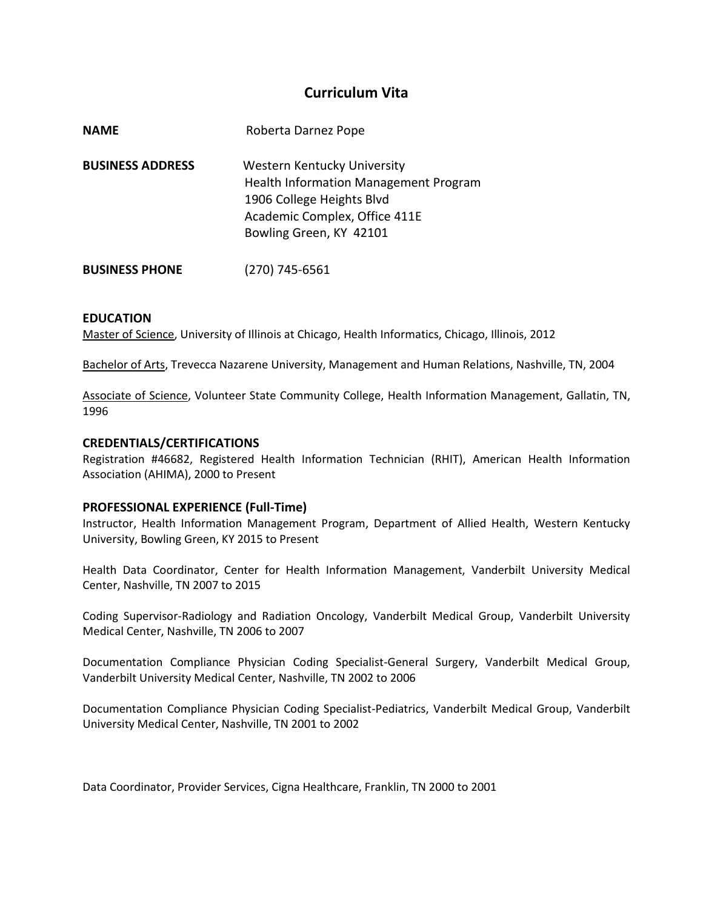# **Curriculum Vita**

| <b>NAME</b>             | Roberta Darnez Pope                                                                                                                                           |
|-------------------------|---------------------------------------------------------------------------------------------------------------------------------------------------------------|
| <b>BUSINESS ADDRESS</b> | Western Kentucky University<br>Health Information Management Program<br>1906 College Heights Blvd<br>Academic Complex, Office 411E<br>Bowling Green, KY 42101 |
| <b>BUSINESS PHONE</b>   | (270) 745-6561                                                                                                                                                |

### **EDUCATION**

Master of Science, University of Illinois at Chicago, Health Informatics, Chicago, Illinois, 2012

Bachelor of Arts, Trevecca Nazarene University, Management and Human Relations, Nashville, TN, 2004

Associate of Science, Volunteer State Community College, Health Information Management, Gallatin, TN, 1996

#### **CREDENTIALS/CERTIFICATIONS**

Registration #46682, Registered Health Information Technician (RHIT), American Health Information Association (AHIMA), 2000 to Present

#### **PROFESSIONAL EXPERIENCE (Full-Time)**

Instructor, Health Information Management Program, Department of Allied Health, Western Kentucky University, Bowling Green, KY 2015 to Present

Health Data Coordinator, Center for Health Information Management, Vanderbilt University Medical Center, Nashville, TN 2007 to 2015

Coding Supervisor-Radiology and Radiation Oncology, Vanderbilt Medical Group, Vanderbilt University Medical Center, Nashville, TN 2006 to 2007

Documentation Compliance Physician Coding Specialist-General Surgery, Vanderbilt Medical Group, Vanderbilt University Medical Center, Nashville, TN 2002 to 2006

Documentation Compliance Physician Coding Specialist-Pediatrics, Vanderbilt Medical Group, Vanderbilt University Medical Center, Nashville, TN 2001 to 2002

Data Coordinator, Provider Services, Cigna Healthcare, Franklin, TN 2000 to 2001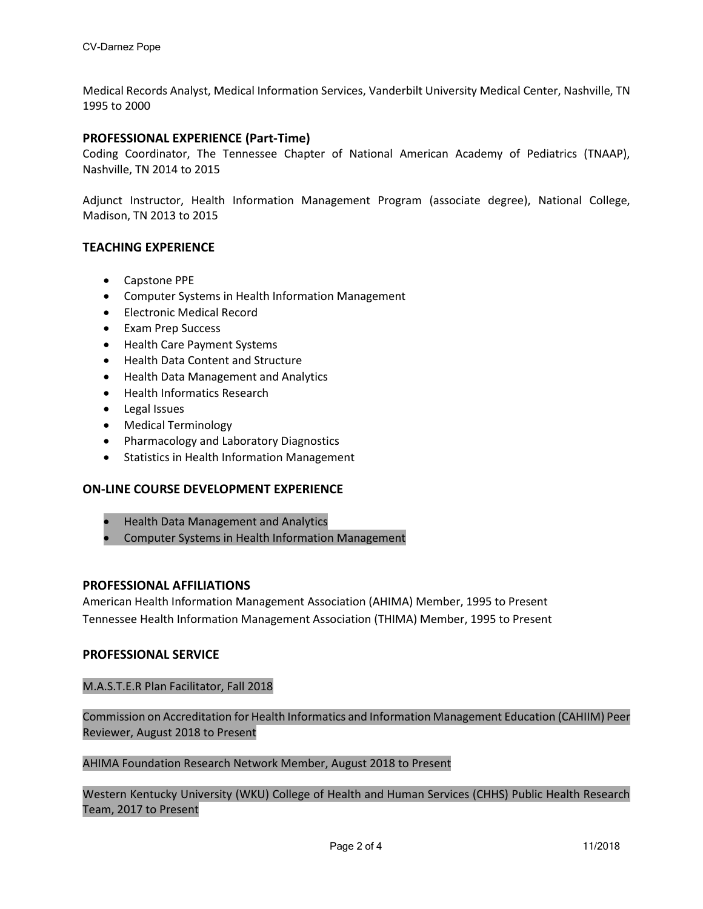Medical Records Analyst, Medical Information Services, Vanderbilt University Medical Center, Nashville, TN 1995 to 2000

# **PROFESSIONAL EXPERIENCE (Part-Time)**

Coding Coordinator, The Tennessee Chapter of National American Academy of Pediatrics (TNAAP), Nashville, TN 2014 to 2015

Adjunct Instructor, Health Information Management Program (associate degree), National College, Madison, TN 2013 to 2015

# **TEACHING EXPERIENCE**

- Capstone PPE
- Computer Systems in Health Information Management
- Electronic Medical Record
- Exam Prep Success
- Health Care Payment Systems
- Health Data Content and Structure
- Health Data Management and Analytics
- Health Informatics Research
- Legal Issues
- Medical Terminology
- Pharmacology and Laboratory Diagnostics
- Statistics in Health Information Management

# **ON-LINE COURSE DEVELOPMENT EXPERIENCE**

- Health Data Management and Analytics
- Computer Systems in Health Information Management

# **PROFESSIONAL AFFILIATIONS**

American Health Information Management Association (AHIMA) Member, 1995 to Present Tennessee Health Information Management Association (THIMA) Member, 1995 to Present

#### **PROFESSIONAL SERVICE**

M.A.S.T.E.R Plan Facilitator, Fall 2018

Commission on Accreditation for Health Informatics and Information Management Education (CAHIIM) Peer Reviewer, August 2018 to Present

AHIMA Foundation Research Network Member, August 2018 to Present

Western Kentucky University (WKU) College of Health and Human Services (CHHS) Public Health Research Team, 2017 to Present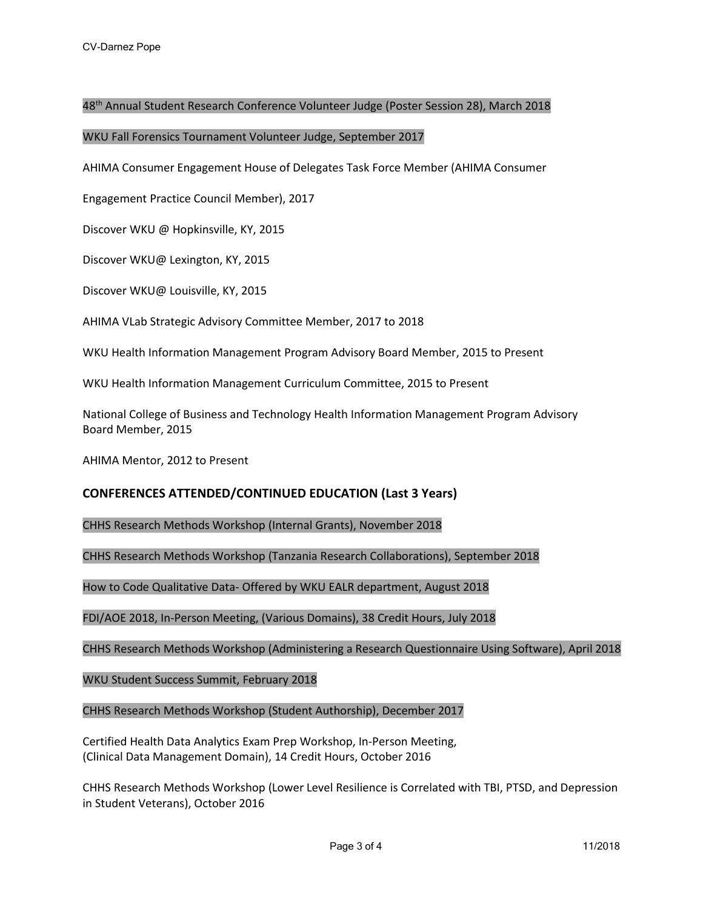### 48th Annual Student Research Conference Volunteer Judge (Poster Session 28), March 2018

#### WKU Fall Forensics Tournament Volunteer Judge, September 2017

AHIMA Consumer Engagement House of Delegates Task Force Member (AHIMA Consumer

Engagement Practice Council Member), 2017

Discover WKU @ Hopkinsville, KY, 2015

Discover WKU@ Lexington, KY, 2015

Discover WKU@ Louisville, KY, 2015

AHIMA VLab Strategic Advisory Committee Member, 2017 to 2018

WKU Health Information Management Program Advisory Board Member, 2015 to Present

WKU Health Information Management Curriculum Committee, 2015 to Present

National College of Business and Technology Health Information Management Program Advisory Board Member, 2015

AHIMA Mentor, 2012 to Present

# **CONFERENCES ATTENDED/CONTINUED EDUCATION (Last 3 Years)**

CHHS Research Methods Workshop (Internal Grants), November 2018

CHHS Research Methods Workshop (Tanzania Research Collaborations), September 2018

How to Code Qualitative Data- Offered by WKU EALR department, August 2018

FDI/AOE 2018, In-Person Meeting, (Various Domains), 38 Credit Hours, July 2018

CHHS Research Methods Workshop (Administering a Research Questionnaire Using Software), April 2018

WKU Student Success Summit, February 2018

CHHS Research Methods Workshop (Student Authorship), December 2017

Certified Health Data Analytics Exam Prep Workshop, In-Person Meeting, (Clinical Data Management Domain), 14 Credit Hours, October 2016

CHHS Research Methods Workshop (Lower Level Resilience is Correlated with TBI, PTSD, and Depression in Student Veterans), October 2016